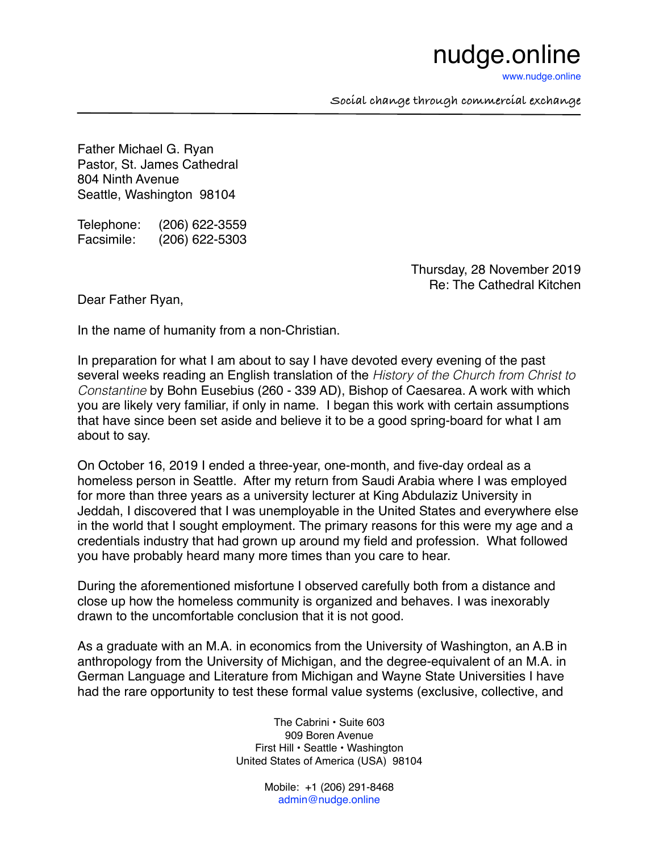## nudge.online

[www.nudge.online](http://www.nudge.online)

**Social change through commercial exchange**

Father Michael G. Ryan Pastor, St. James Cathedral 804 Ninth Avenue Seattle, Washington 98104

Telephone: (206) 622-3559 Facsimile: (206) 622-5303

> Thursday, 28 November 2019 Re: The Cathedral Kitchen

Dear Father Ryan,

In the name of humanity from a non-Christian.

In preparation for what I am about to say I have devoted every evening of the past several weeks reading an English translation of the *History of the Church from Christ to Constantine* by Bohn Eusebius (260 - 339 AD), Bishop of Caesarea. A work with which you are likely very familiar, if only in name. I began this work with certain assumptions that have since been set aside and believe it to be a good spring-board for what I am about to say.

On October 16, 2019 I ended a three-year, one-month, and five-day ordeal as a homeless person in Seattle. After my return from Saudi Arabia where I was employed for more than three years as a university lecturer at King Abdulaziz University in Jeddah, I discovered that I was unemployable in the United States and everywhere else in the world that I sought employment. The primary reasons for this were my age and a credentials industry that had grown up around my field and profession. What followed you have probably heard many more times than you care to hear.

During the aforementioned misfortune I observed carefully both from a distance and close up how the homeless community is organized and behaves. I was inexorably drawn to the uncomfortable conclusion that it is not good.

As a graduate with an M.A. in economics from the University of Washington, an A.B in anthropology from the University of Michigan, and the degree-equivalent of an M.A. in German Language and Literature from Michigan and Wayne State Universities I have had the rare opportunity to test these formal value systems (exclusive, collective, and

> The Cabrini • Suite 603 909 Boren Avenue First Hill • Seattle • Washington United States of America (USA) 98104

> > Mobile: +1 (206) 291-8468 [admin@nudge.online](mailto:admin@nudge.online)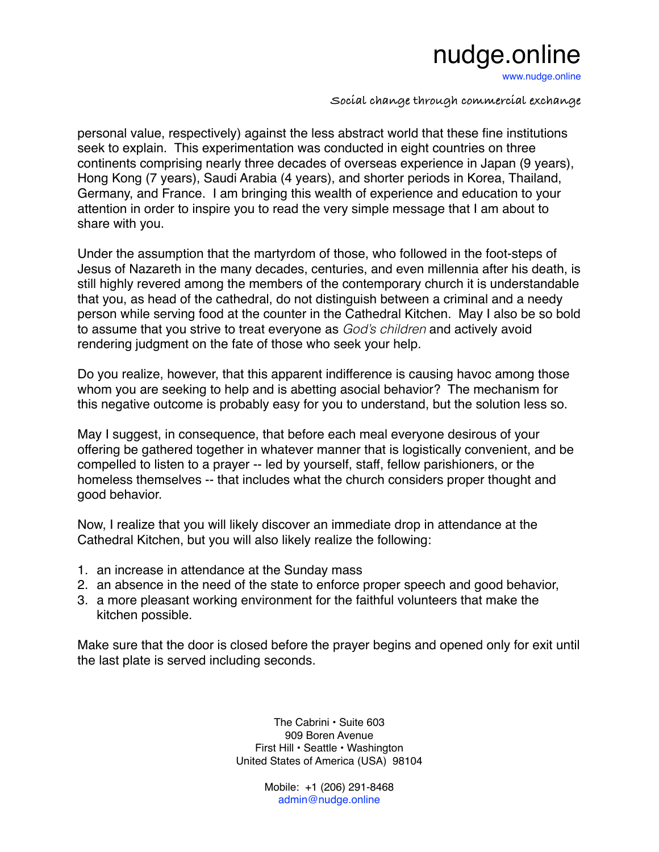## nudge.online

[www.nudge.online](http://www.nudge.online)

**Social change through commercial exchange**

personal value, respectively) against the less abstract world that these fine institutions seek to explain. This experimentation was conducted in eight countries on three continents comprising nearly three decades of overseas experience in Japan (9 years), Hong Kong (7 years), Saudi Arabia (4 years), and shorter periods in Korea, Thailand, Germany, and France. I am bringing this wealth of experience and education to your attention in order to inspire you to read the very simple message that I am about to share with you.

Under the assumption that the martyrdom of those, who followed in the foot-steps of Jesus of Nazareth in the many decades, centuries, and even millennia after his death, is still highly revered among the members of the contemporary church it is understandable that you, as head of the cathedral, do not distinguish between a criminal and a needy person while serving food at the counter in the Cathedral Kitchen. May I also be so bold to assume that you strive to treat everyone as *God's children* and actively avoid rendering judgment on the fate of those who seek your help.

Do you realize, however, that this apparent indifference is causing havoc among those whom you are seeking to help and is abetting asocial behavior? The mechanism for this negative outcome is probably easy for you to understand, but the solution less so.

May I suggest, in consequence, that before each meal everyone desirous of your offering be gathered together in whatever manner that is logistically convenient, and be compelled to listen to a prayer -- led by yourself, staff, fellow parishioners, or the homeless themselves -- that includes what the church considers proper thought and good behavior.

Now, I realize that you will likely discover an immediate drop in attendance at the Cathedral Kitchen, but you will also likely realize the following:

- 1. an increase in attendance at the Sunday mass
- 2. an absence in the need of the state to enforce proper speech and good behavior,
- 3. a more pleasant working environment for the faithful volunteers that make the kitchen possible.

Make sure that the door is closed before the prayer begins and opened only for exit until the last plate is served including seconds.

> The Cabrini • Suite 603 909 Boren Avenue First Hill • Seattle • Washington United States of America (USA) 98104

> > Mobile: +1 (206) 291-8468 [admin@nudge.online](mailto:admin@nudge.online)